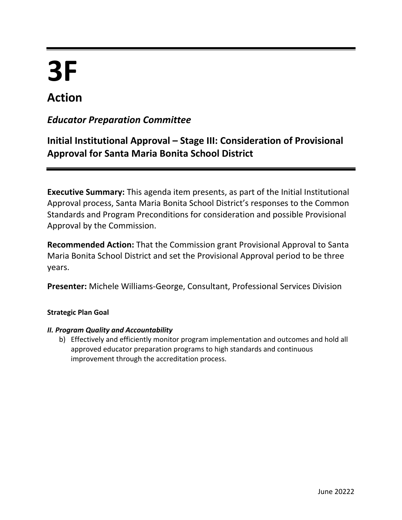# **3F Action**

# *Educator Preparation Committee*

# **Initial Institutional Approval – Stage III: Consideration of Provisional Approval for Santa Maria Bonita School District**

**Executive Summary:** This agenda item presents, as part of the Initial Institutional Approval process, Santa Maria Bonita School District's responses to the Common Standards and Program Preconditions for consideration and possible Provisional Approval by the Commission.

**Recommended Action:** That the Commission grant Provisional Approval to Santa Maria Bonita School District and set the Provisional Approval period to be three years.

**Presenter:** Michele Williams-George, Consultant, Professional Services Division

# **Strategic Plan Goal**

# *II. Program Quality and Accountability*

b) Effectively and efficiently monitor program implementation and outcomes and hold all approved educator preparation programs to high standards and continuous improvement through the accreditation process.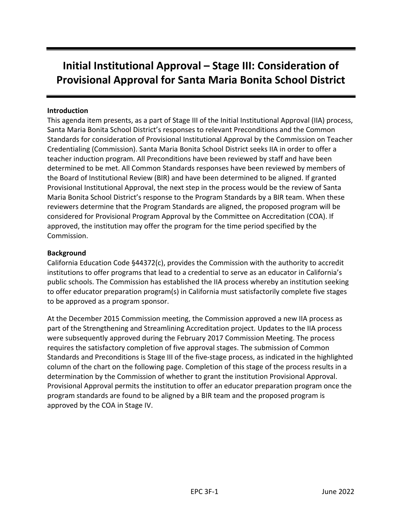# **Initial Institutional Approval – Stage III: Consideration of Provisional Approval for Santa Maria Bonita School District**

#### **Introduction**

This agenda item presents, as a part of Stage III of the Initial Institutional Approval (IIA) process, Santa Maria Bonita School District's responses to relevant Preconditions and the Common Standards for consideration of Provisional Institutional Approval by the Commission on Teacher Credentialing (Commission). Santa Maria Bonita School District seeks IIA in order to offer a teacher induction program. All Preconditions have been reviewed by staff and have been determined to be met. All Common Standards responses have been reviewed by members of the Board of Institutional Review (BIR) and have been determined to be aligned. If granted Provisional Institutional Approval, the next step in the process would be the review of Santa Maria Bonita School District's response to the Program Standards by a BIR team. When these reviewers determine that the Program Standards are aligned, the proposed program will be considered for Provisional Program Approval by the Committee on Accreditation (COA). If approved, the institution may offer the program for the time period specified by the Commission.

#### **Background**

California Education Code §44372(c), provides the Commission with the authority to accredit institutions to offer programs that lead to a credential to serve as an educator in California's public schools. The Commission has established the IIA process whereby an institution seeking to offer educator preparation program(s) in California must satisfactorily complete five stages to be approved as a program sponsor.

At the December 2015 Commission meeting, the Commission approved a new IIA process as part of the Strengthening and Streamlining Accreditation project. Updates to the IIA process were subsequently approved during the February 2017 Commission Meeting. The process requires the satisfactory completion of five approval stages. The submission of Common Standards and Preconditions is Stage III of the five-stage process, as indicated in the highlighted column of the chart on the following page. Completion of this stage of the process results in a determination by the Commission of whether to grant the institution Provisional Approval. Provisional Approval permits the institution to offer an educator preparation program once the program standards are found to be aligned by a BIR team and the proposed program is approved by the COA in Stage IV.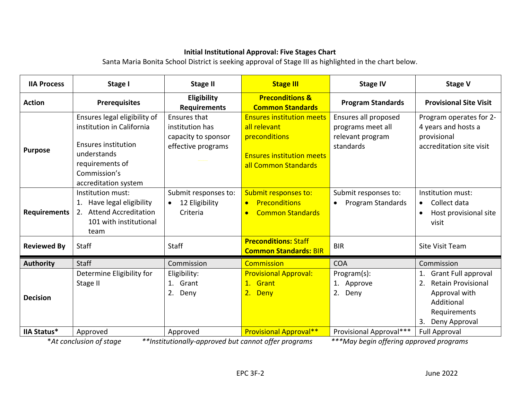# **Initial Institutional Approval: Five Stages Chart**

Santa Maria Bonita School District is seeking approval of Stage III as highlighted in the chart below.

| <b>IIA Process</b>  | Stage I                                                                                                                                                           | <b>Stage II</b>                                                                                                                                                                                                                                                                                                                                 | <b>Stage III</b>                                                                                                              | <b>Stage IV</b>                                                            | <b>Stage V</b>                                                                                                                      |
|---------------------|-------------------------------------------------------------------------------------------------------------------------------------------------------------------|-------------------------------------------------------------------------------------------------------------------------------------------------------------------------------------------------------------------------------------------------------------------------------------------------------------------------------------------------|-------------------------------------------------------------------------------------------------------------------------------|----------------------------------------------------------------------------|-------------------------------------------------------------------------------------------------------------------------------------|
| <b>Action</b>       | <b>Prerequisites</b>                                                                                                                                              | Eligibility<br><b>Requirements</b>                                                                                                                                                                                                                                                                                                              | <b>Preconditions &amp;</b><br><b>Common Standards</b>                                                                         | <b>Program Standards</b>                                                   | <b>Provisional Site Visit</b>                                                                                                       |
| <b>Purpose</b>      | Ensures legal eligibility of<br>institution in California<br><b>Ensures institution</b><br>understands<br>requirements of<br>Commission's<br>accreditation system | Ensures that<br>institution has<br>capacity to sponsor<br>effective programs                                                                                                                                                                                                                                                                    | <b>Ensures institution meets</b><br>all relevant<br>preconditions<br><b>Ensures institution meets</b><br>all Common Standards | Ensures all proposed<br>programs meet all<br>relevant program<br>standards | Program operates for 2-<br>4 years and hosts a<br>provisional<br>accreditation site visit                                           |
| <b>Requirements</b> | Institution must:<br>Have legal eligibility<br><b>Attend Accreditation</b><br>2.<br>101 with institutional<br>team                                                | Submit responses to:<br>12 Eligibility<br>Criteria                                                                                                                                                                                                                                                                                              | Submit responses to:<br><b>Preconditions</b><br><b>Common Standards</b><br>$\bullet$                                          | Submit responses to:<br>Program Standards                                  | Institution must:<br>Collect data<br>$\bullet$<br>Host provisional site<br>visit                                                    |
| <b>Reviewed By</b>  | <b>Staff</b>                                                                                                                                                      | <b>Staff</b>                                                                                                                                                                                                                                                                                                                                    | <b>Preconditions: Staff</b><br><b>Common Standards: BIR</b>                                                                   | <b>BIR</b>                                                                 | <b>Site Visit Team</b>                                                                                                              |
| <b>Authority</b>    | <b>Staff</b>                                                                                                                                                      | Commission                                                                                                                                                                                                                                                                                                                                      | <b>Commission</b>                                                                                                             | <b>COA</b>                                                                 | Commission                                                                                                                          |
| <b>Decision</b>     | Determine Eligibility for<br>Stage II                                                                                                                             | Eligibility:<br>Grant<br>1.<br>2. Deny                                                                                                                                                                                                                                                                                                          | <b>Provisional Approval:</b><br>1.<br>Grant<br>2.<br><b>Deny</b>                                                              | Program(s):<br>1. Approve<br>2. Deny                                       | <b>Grant Full approval</b><br><b>Retain Provisional</b><br>2.<br>Approval with<br>Additional<br>Requirements<br>Deny Approval<br>3. |
| <b>IIA Status*</b>  | Approved<br>. .                                                                                                                                                   | Approved<br>$\frac{1}{2}$ $\frac{1}{2}$ $\frac{1}{2}$ $\frac{1}{2}$ $\frac{1}{2}$ $\frac{1}{2}$ $\frac{1}{2}$ $\frac{1}{2}$ $\frac{1}{2}$ $\frac{1}{2}$ $\frac{1}{2}$ $\frac{1}{2}$ $\frac{1}{2}$ $\frac{1}{2}$ $\frac{1}{2}$ $\frac{1}{2}$ $\frac{1}{2}$ $\frac{1}{2}$ $\frac{1}{2}$ $\frac{1}{2}$ $\frac{1}{2}$ $\frac{1}{2}$<br>$\mathbf{1}$ | <b>Provisional Approval**</b><br>$\sim$                                                                                       | Provisional Approval***<br>シシシュ ノー・・・ パー・                                  | <b>Full Approval</b>                                                                                                                |

\**At conclusion of stage \*\*Institutionally-approved but cannot offer programs \*\*\*May begin offering approved programs*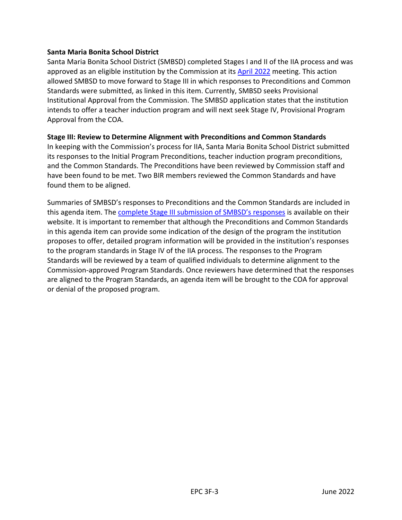#### **Santa Maria Bonita School District**

Santa Maria Bonita School District (SMBSD) completed Stages I and II of the IIA process and was approved as an eligible institution by the Commission at its [April 2022](https://www.ctc.ca.gov/commission/agendas/2022-04/april-2022-commission-meeting) meeting. This action allowed SMBSD to move forward to Stage III in which responses to Preconditions and Common Standards were submitted, as linked in this item. Currently, SMBSD seeks Provisional Institutional Approval from the Commission. The SMBSD application states that the institution intends to offer a teacher induction program and will next seek Stage IV, Provisional Program Approval from the COA.

#### **Stage III: Review to Determine Alignment with Preconditions and Common Standards**

In keeping with the Commission's process for IIA, Santa Maria Bonita School District submitted its responses to the Initial Program Preconditions, teacher induction program preconditions, and the Common Standards. The Preconditions have been reviewed by Commission staff and have been found to be met. Two BIR members reviewed the Common Standards and have found them to be aligned.

Summaries of SMBSD's responses to Preconditions and the Common Standards are included in this agenda item. The [complete Stage III submission of SMBSD](https://sites.google.com/smbsd.net/smbsdtip/accreditation/stage-3?authuser=0)'s responses is available on their website. It is important to remember that although the Preconditions and Common Standards in this agenda item can provide some indication of the design of the program the institution proposes to offer, detailed program information will be provided in the institution's responses to the program standards in Stage IV of the IIA process. The responses to the Program Standards will be reviewed by a team of qualified individuals to determine alignment to the Commission-approved Program Standards. Once reviewers have determined that the responses are aligned to the Program Standards, an agenda item will be brought to the COA for approval or denial of the proposed program.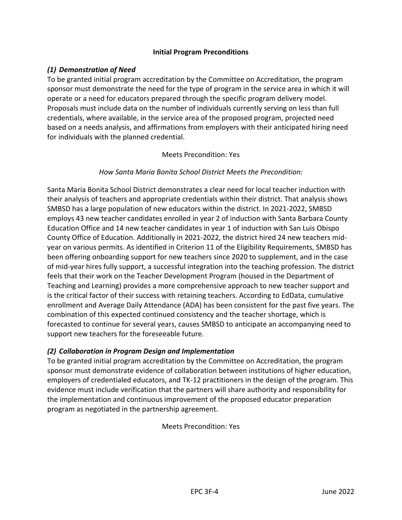#### **Initial Program Preconditions**

# *(1) Demonstration of Need*

To be granted initial program accreditation by the Committee on Accreditation, the program sponsor must demonstrate the need for the type of program in the service area in which it will operate or a need for educators prepared through the specific program delivery model. Proposals must include data on the number of individuals currently serving on less than full credentials, where available, in the service area of the proposed program, projected need based on a needs analysis, and affirmations from employers with their anticipated hiring need for individuals with the planned credential.

#### Meets Precondition: Yes

#### *How Santa Maria Bonita School District Meets the Precondition:*

Santa Maria Bonita School District demonstrates a clear need for local teacher induction with their analysis of teachers and appropriate credentials within their district. That analysis shows SMBSD has a large population of new educators within the district. In 2021-2022, SMBSD employs 43 new teacher candidates enrolled in year 2 of induction with Santa Barbara County Education Office and 14 new teacher candidates in year 1 of induction with San Luis Obispo County Office of Education. Additionally in 2021-2022, the district hired 24 new teachers midyear on various permits. As identified in Criterion 11 of the Eligibility Requirements, SMBSD has been offering onboarding support for new teachers since 2020 to supplement, and in the case of mid-year hires fully support, a successful integration into the teaching profession. The district feels that their work on the Teacher Development Program (housed in the Department of Teaching and Learning) provides a more comprehensive approach to new teacher support and is the critical factor of their success with retaining teachers. According to EdData, cumulative enrollment and Average Daily Attendance (ADA) has been consistent for the past five years. The combination of this expected continued consistency and the teacher shortage, which is forecasted to continue for several years, causes SMBSD to anticipate an accompanying need to support new teachers for the foreseeable future.

# *(2) Collaboration in Program Design and Implementation*

To be granted initial program accreditation by the Committee on Accreditation, the program sponsor must demonstrate evidence of collaboration between institutions of higher education, employers of credentialed educators, and TK-12 practitioners in the design of the program. This evidence must include verification that the partners will share authority and responsibility for the implementation and continuous improvement of the proposed educator preparation program as negotiated in the partnership agreement.

Meets Precondition: Yes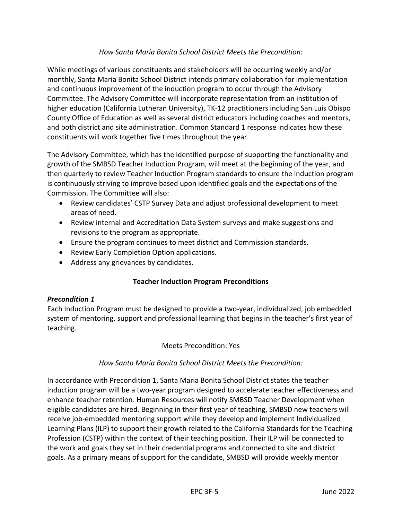# *How Santa Maria Bonita School District Meets the Precondition:*

While meetings of various constituents and stakeholders will be occurring weekly and/or monthly, Santa Maria Bonita School District intends primary collaboration for implementation and continuous improvement of the induction program to occur through the Advisory Committee. The Advisory Committee will incorporate representation from an institution of higher education (California Lutheran University), TK-12 practitioners including San Luis Obispo County Office of Education as well as several district educators including coaches and mentors, and both district and site administration. Common Standard 1 response indicates how these constituents will work together five times throughout the year.

The Advisory Committee, which has the identified purpose of supporting the functionality and growth of the SMBSD Teacher Induction Program, will meet at the beginning of the year, and then quarterly to review Teacher Induction Program standards to ensure the induction program is continuously striving to improve based upon identified goals and the expectations of the Commission. The Committee will also:

- Review candidates' CSTP Survey Data and adjust professional development to meet areas of need.
- Review internal and Accreditation Data System surveys and make suggestions and revisions to the program as appropriate.
- Ensure the program continues to meet district and Commission standards.
- Review Early Completion Option applications.
- Address any grievances by candidates.

# **Teacher Induction Program Preconditions**

#### *Precondition 1*

Each Induction Program must be designed to provide a two-year, individualized, job embedded system of mentoring, support and professional learning that begins in the teacher's first year of teaching.

#### Meets Precondition: Yes

# *How Santa Maria Bonita School District Meets the Precondition:*

In accordance with Precondition 1, Santa Maria Bonita School District states the teacher induction program will be a two-year program designed to accelerate teacher effectiveness and enhance teacher retention. Human Resources will notify SMBSD Teacher Development when eligible candidates are hired. Beginning in their first year of teaching, SMBSD new teachers will receive job-embedded mentoring support while they develop and implement Individualized Learning Plans (ILP) to support their growth related to the California Standards for the Teaching Profession (CSTP) within the context of their teaching position. Their ILP will be connected to the work and goals they set in their credential programs and connected to site and district goals. As a primary means of support for the candidate, SMBSD will provide weekly mentor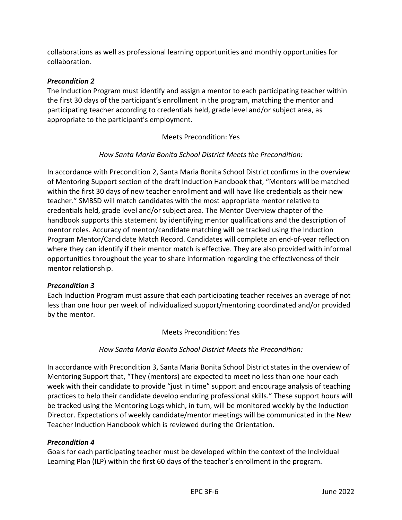collaborations as well as professional learning opportunities and monthly opportunities for collaboration.

# *Precondition 2*

The Induction Program must identify and assign a mentor to each participating teacher within the first 30 days of the participant's enrollment in the program, matching the mentor and participating teacher according to credentials held, grade level and/or subject area, as appropriate to the participant's employment.

Meets Precondition: Yes

# *How Santa Maria Bonita School District Meets the Precondition:*

In accordance with Precondition 2, Santa Maria Bonita School District confirms in the overview of Mentoring Support section of the draft Induction Handbook that, "Mentors will be matched within the first 30 days of new teacher enrollment and will have like credentials as their new teacher." SMBSD will match candidates with the most appropriate mentor relative to credentials held, grade level and/or subject area. The Mentor Overview chapter of the handbook supports this statement by identifying mentor qualifications and the description of mentor roles. Accuracy of mentor/candidate matching will be tracked using the Induction Program Mentor/Candidate Match Record. Candidates will complete an end-of-year reflection where they can identify if their mentor match is effective. They are also provided with informal opportunities throughout the year to share information regarding the effectiveness of their mentor relationship.

# *Precondition 3*

Each Induction Program must assure that each participating teacher receives an average of not less than one hour per week of individualized support/mentoring coordinated and/or provided by the mentor.

Meets Precondition: Yes

*How Santa Maria Bonita School District Meets the Precondition:*

In accordance with Precondition 3, Santa Maria Bonita School District states in the overview of Mentoring Support that, "They (mentors) are expected to meet no less than one hour each week with their candidate to provide "just in time" support and encourage analysis of teaching practices to help their candidate develop enduring professional skills." These support hours will be tracked using the Mentoring Logs which, in turn, will be monitored weekly by the Induction Director. Expectations of weekly candidate/mentor meetings will be communicated in the New Teacher Induction Handbook which is reviewed during the Orientation.

# *Precondition 4*

Goals for each participating teacher must be developed within the context of the Individual Learning Plan (ILP) within the first 60 days of the teacher's enrollment in the program.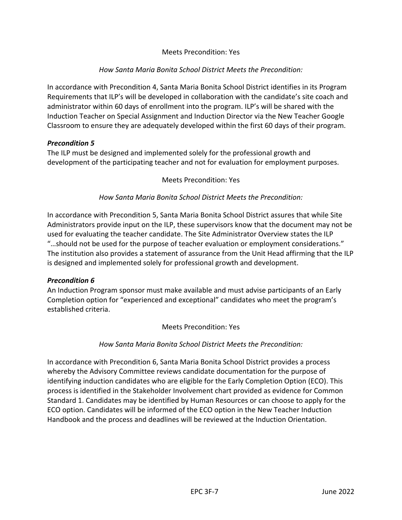# Meets Precondition: Yes

#### *How Santa Maria Bonita School District Meets the Precondition:*

In accordance with Precondition 4, Santa Maria Bonita School District identifies in its Program Requirements that ILP's will be developed in collaboration with the candidate's site coach and administrator within 60 days of enrollment into the program. ILP's will be shared with the Induction Teacher on Special Assignment and Induction Director via the New Teacher Google Classroom to ensure they are adequately developed within the first 60 days of their program.

#### *Precondition 5*

The ILP must be designed and implemented solely for the professional growth and development of the participating teacher and not for evaluation for employment purposes.

#### Meets Precondition: Yes

#### *How Santa Maria Bonita School District Meets the Precondition:*

In accordance with Precondition 5, Santa Maria Bonita School District assures that while Site Administrators provide input on the ILP, these supervisors know that the document may not be used for evaluating the teacher candidate. The Site Administrator Overview states the ILP "…should not be used for the purpose of teacher evaluation or employment considerations." The institution also provides a statement of assurance from the Unit Head affirming that the ILP is designed and implemented solely for professional growth and development.

#### *Precondition 6*

An Induction Program sponsor must make available and must advise participants of an Early Completion option for "experienced and exceptional" candidates who meet the program's established criteria.

#### Meets Precondition: Yes

#### *How Santa Maria Bonita School District Meets the Precondition:*

In accordance with Precondition 6, Santa Maria Bonita School District provides a process whereby the Advisory Committee reviews candidate documentation for the purpose of identifying induction candidates who are eligible for the Early Completion Option (ECO). This process is identified in the Stakeholder Involvement chart provided as evidence for Common Standard 1. Candidates may be identified by Human Resources or can choose to apply for the ECO option. Candidates will be informed of the ECO option in the New Teacher Induction Handbook and the process and deadlines will be reviewed at the Induction Orientation.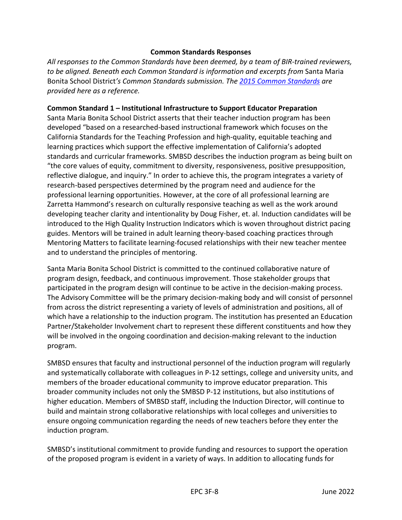#### **Common Standards Responses**

*All responses to the Common Standards have been deemed, by a team of BIR-trained reviewers, to be aligned. Beneath each Common Standard is information and excerpts from* Santa Maria Bonita School District*'s Common Standards submission. The [2015 Common Standards](https://www.ctc.ca.gov/docs/default-source/educator-prep/standards/commonstandards-2015-pdf.pdf?sfvrsn=2) are provided here as a reference.*

#### **Common Standard 1 – Institutional Infrastructure to Support Educator Preparation**

Santa Maria Bonita School District asserts that their teacher induction program has been developed "based on a researched-based instructional framework which focuses on the California Standards for the Teaching Profession and high-quality, equitable teaching and learning practices which support the effective implementation of California's adopted standards and curricular frameworks. SMBSD describes the induction program as being built on "the core values of equity, commitment to diversity, responsiveness, positive presupposition, reflective dialogue, and inquiry." In order to achieve this, the program integrates a variety of research-based perspectives determined by the program need and audience for the professional learning opportunities. However, at the core of all professional learning are Zarretta Hammond's research on culturally responsive teaching as well as the work around developing teacher clarity and intentionality by Doug Fisher, et. al. Induction candidates will be introduced to the High Quality Instruction Indicators which is woven throughout district pacing guides. Mentors will be trained in adult learning theory-based coaching practices through Mentoring Matters to facilitate learning-focused relationships with their new teacher mentee and to understand the principles of mentoring.

Santa Maria Bonita School District is committed to the continued collaborative nature of program design, feedback, and continuous improvement. Those stakeholder groups that participated in the program design will continue to be active in the decision-making process. The Advisory Committee will be the primary decision-making body and will consist of personnel from across the district representing a variety of levels of administration and positions, all of which have a relationship to the induction program. The institution has presented an Education Partner/Stakeholder Involvement chart to represent these different constituents and how they will be involved in the ongoing coordination and decision-making relevant to the induction program.

SMBSD ensures that faculty and instructional personnel of the induction program will regularly and systematically collaborate with colleagues in P-12 settings, college and university units, and members of the broader educational community to improve educator preparation. This broader community includes not only the SMBSD P-12 institutions, but also institutions of higher education. Members of SMBSD staff, including the Induction Director, will continue to build and maintain strong collaborative relationships with local colleges and universities to ensure ongoing communication regarding the needs of new teachers before they enter the induction program.

SMBSD's institutional commitment to provide funding and resources to support the operation of the proposed program is evident in a variety of ways. In addition to allocating funds for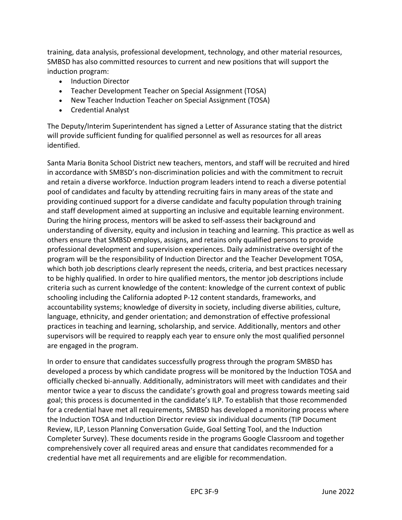training, data analysis, professional development, technology, and other material resources, SMBSD has also committed resources to current and new positions that will support the induction program:

- Induction Director
- Teacher Development Teacher on Special Assignment (TOSA)
- New Teacher Induction Teacher on Special Assignment (TOSA)
- Credential Analyst

The Deputy/Interim Superintendent has signed a Letter of Assurance stating that the district will provide sufficient funding for qualified personnel as well as resources for all areas identified.

Santa Maria Bonita School District new teachers, mentors, and staff will be recruited and hired in accordance with SMBSD's non-discrimination policies and with the commitment to recruit and retain a diverse workforce. Induction program leaders intend to reach a diverse potential pool of candidates and faculty by attending recruiting fairs in many areas of the state and providing continued support for a diverse candidate and faculty population through training and staff development aimed at supporting an inclusive and equitable learning environment. During the hiring process, mentors will be asked to self-assess their background and understanding of diversity, equity and inclusion in teaching and learning. This practice as well as others ensure that SMBSD employs, assigns, and retains only qualified persons to provide professional development and supervision experiences. Daily administrative oversight of the program will be the responsibility of Induction Director and the Teacher Development TOSA, which both job descriptions clearly represent the needs, criteria, and best practices necessary to be highly qualified. In order to hire qualified mentors, the mentor job descriptions include criteria such as current knowledge of the content: knowledge of the current context of public schooling including the California adopted P-12 content standards, frameworks, and accountability systems; knowledge of diversity in society, including diverse abilities, culture, language, ethnicity, and gender orientation; and demonstration of effective professional practices in teaching and learning, scholarship, and service. Additionally, mentors and other supervisors will be required to reapply each year to ensure only the most qualified personnel are engaged in the program.

In order to ensure that candidates successfully progress through the program SMBSD has developed a process by which candidate progress will be monitored by the Induction TOSA and officially checked bi-annually. Additionally, administrators will meet with candidates and their mentor twice a year to discuss the candidate's growth goal and progress towards meeting said goal; this process is documented in the candidate's ILP. To establish that those recommended for a credential have met all requirements, SMBSD has developed a monitoring process where the Induction TOSA and Induction Director review six individual documents (TIP Document Review, ILP, Lesson Planning Conversation Guide, Goal Setting Tool, and the Induction Completer Survey). These documents reside in the programs Google Classroom and together comprehensively cover all required areas and ensure that candidates recommended for a credential have met all requirements and are eligible for recommendation.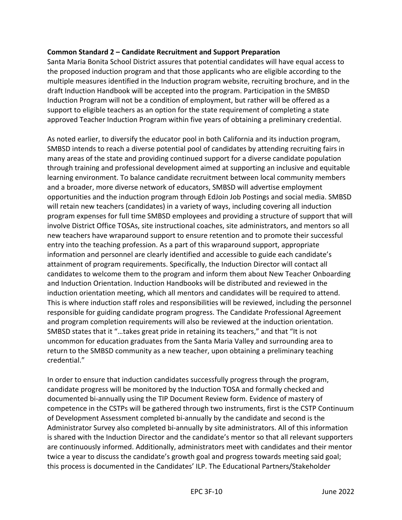#### **Common Standard 2 – Candidate Recruitment and Support Preparation**

Santa Maria Bonita School District assures that potential candidates will have equal access to the proposed induction program and that those applicants who are eligible according to the multiple measures identified in the Induction program website, recruiting brochure, and in the draft Induction Handbook will be accepted into the program. Participation in the SMBSD Induction Program will not be a condition of employment, but rather will be offered as a support to eligible teachers as an option for the state requirement of completing a state approved Teacher Induction Program within five years of obtaining a preliminary credential.

As noted earlier, to diversify the educator pool in both California and its induction program, SMBSD intends to reach a diverse potential pool of candidates by attending recruiting fairs in many areas of the state and providing continued support for a diverse candidate population through training and professional development aimed at supporting an inclusive and equitable learning environment. To balance candidate recruitment between local community members and a broader, more diverse network of educators, SMBSD will advertise employment opportunities and the induction program through EdJoin Job Postings and social media. SMBSD will retain new teachers (candidates) in a variety of ways, including covering all induction program expenses for full time SMBSD employees and providing a structure of support that will involve District Office TOSAs, site instructional coaches, site administrators, and mentors so all new teachers have wraparound support to ensure retention and to promote their successful entry into the teaching profession. As a part of this wraparound support, appropriate information and personnel are clearly identified and accessible to guide each candidate's attainment of program requirements. Specifically, the Induction Director will contact all candidates to welcome them to the program and inform them about New Teacher Onboarding and Induction Orientation. Induction Handbooks will be distributed and reviewed in the induction orientation meeting, which all mentors and candidates will be required to attend. This is where induction staff roles and responsibilities will be reviewed, including the personnel responsible for guiding candidate program progress. The Candidate Professional Agreement and program completion requirements will also be reviewed at the induction orientation. SMBSD states that it "…takes great pride in retaining its teachers," and that "It is not uncommon for education graduates from the Santa Maria Valley and surrounding area to return to the SMBSD community as a new teacher, upon obtaining a preliminary teaching credential."

In order to ensure that induction candidates successfully progress through the program, candidate progress will be monitored by the Induction TOSA and formally checked and documented bi-annually using the TIP Document Review form. Evidence of mastery of competence in the CSTPs will be gathered through two instruments, first is the CSTP Continuum of Development Assessment completed bi-annually by the candidate and second is the Administrator Survey also completed bi-annually by site administrators. All of this information is shared with the Induction Director and the candidate's mentor so that all relevant supporters are continuously informed. Additionally, administrators meet with candidates and their mentor twice a year to discuss the candidate's growth goal and progress towards meeting said goal; this process is documented in the Candidates' ILP. The Educational Partners/Stakeholder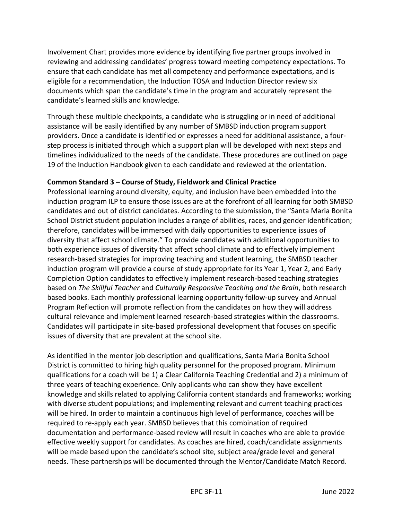Involvement Chart provides more evidence by identifying five partner groups involved in reviewing and addressing candidates' progress toward meeting competency expectations. To ensure that each candidate has met all competency and performance expectations, and is eligible for a recommendation, the Induction TOSA and Induction Director review six documents which span the candidate's time in the program and accurately represent the candidate's learned skills and knowledge.

Through these multiple checkpoints, a candidate who is struggling or in need of additional assistance will be easily identified by any number of SMBSD induction program support providers. Once a candidate is identified or expresses a need for additional assistance, a fourstep process is initiated through which a support plan will be developed with next steps and timelines individualized to the needs of the candidate. These procedures are outlined on page 19 of the Induction Handbook given to each candidate and reviewed at the orientation.

#### **Common Standard 3 – Course of Study, Fieldwork and Clinical Practice**

Professional learning around diversity, equity, and inclusion have been embedded into the induction program ILP to ensure those issues are at the forefront of all learning for both SMBSD candidates and out of district candidates. According to the submission, the "Santa Maria Bonita School District student population includes a range of abilities, races, and gender identification; therefore, candidates will be immersed with daily opportunities to experience issues of diversity that affect school climate." To provide candidates with additional opportunities to both experience issues of diversity that affect school climate and to effectively implement research-based strategies for improving teaching and student learning, the SMBSD teacher induction program will provide a course of study appropriate for its Year 1, Year 2, and Early Completion Option candidates to effectively implement research-based teaching strategies based on *The Skillful Teacher* and *Culturally Responsive Teaching and the Brain*, both research based books. Each monthly professional learning opportunity follow-up survey and Annual Program Reflection will promote reflection from the candidates on how they will address cultural relevance and implement learned research-based strategies within the classrooms. Candidates will participate in site-based professional development that focuses on specific issues of diversity that are prevalent at the school site.

As identified in the mentor job description and qualifications, Santa Maria Bonita School District is committed to hiring high quality personnel for the proposed program. Minimum qualifications for a coach will be 1) a Clear California Teaching Credential and 2) a minimum of three years of teaching experience. Only applicants who can show they have excellent knowledge and skills related to applying California content standards and frameworks; working with diverse student populations; and implementing relevant and current teaching practices will be hired. In order to maintain a continuous high level of performance, coaches will be required to re-apply each year. SMBSD believes that this combination of required documentation and performance-based review will result in coaches who are able to provide effective weekly support for candidates. As coaches are hired, coach/candidate assignments will be made based upon the candidate's school site, subject area/grade level and general needs. These partnerships will be documented through the Mentor/Candidate Match Record.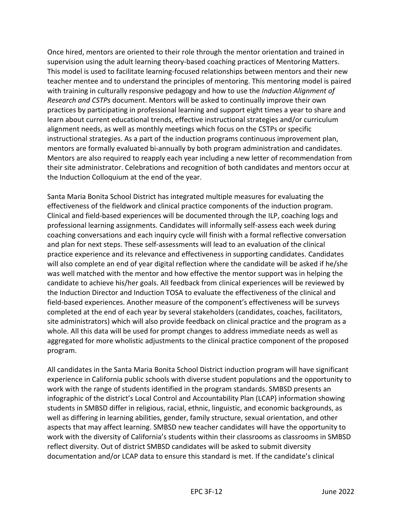Once hired, mentors are oriented to their role through the mentor orientation and trained in supervision using the adult learning theory-based coaching practices of Mentoring Matters. This model is used to facilitate learning-focused relationships between mentors and their new teacher mentee and to understand the principles of mentoring. This mentoring model is paired with training in culturally responsive pedagogy and how to use the *Induction Alignment of Research and CSTPs* document. Mentors will be asked to continually improve their own practices by participating in professional learning and support eight times a year to share and learn about current educational trends, effective instructional strategies and/or curriculum alignment needs, as well as monthly meetings which focus on the CSTPs or specific instructional strategies. As a part of the induction programs continuous improvement plan, mentors are formally evaluated bi-annually by both program administration and candidates. Mentors are also required to reapply each year including a new letter of recommendation from their site administrator. Celebrations and recognition of both candidates and mentors occur at the Induction Colloquium at the end of the year.

Santa Maria Bonita School District has integrated multiple measures for evaluating the effectiveness of the fieldwork and clinical practice components of the induction program. Clinical and field-based experiences will be documented through the ILP, coaching logs and professional learning assignments. Candidates will informally self-assess each week during coaching conversations and each inquiry cycle will finish with a formal reflective conversation and plan for next steps. These self-assessments will lead to an evaluation of the clinical practice experience and its relevance and effectiveness in supporting candidates. Candidates will also complete an end of year digital reflection where the candidate will be asked if he/she was well matched with the mentor and how effective the mentor support was in helping the candidate to achieve his/her goals. All feedback from clinical experiences will be reviewed by the Induction Director and Induction TOSA to evaluate the effectiveness of the clinical and field-based experiences. Another measure of the component's effectiveness will be surveys completed at the end of each year by several stakeholders (candidates, coaches, facilitators, site administrators) which will also provide feedback on clinical practice and the program as a whole. All this data will be used for prompt changes to address immediate needs as well as aggregated for more wholistic adjustments to the clinical practice component of the proposed program.

All candidates in the Santa Maria Bonita School District induction program will have significant experience in California public schools with diverse student populations and the opportunity to work with the range of students identified in the program standards. SMBSD presents an infographic of the district's Local Control and Accountability Plan (LCAP) information showing students in SMBSD differ in religious, racial, ethnic, linguistic, and economic backgrounds, as well as differing in learning abilities, gender, family structure, sexual orientation, and other aspects that may affect learning. SMBSD new teacher candidates will have the opportunity to work with the diversity of California's students within their classrooms as classrooms in SMBSD reflect diversity. Out of district SMBSD candidates will be asked to submit diversity documentation and/or LCAP data to ensure this standard is met. If the candidate's clinical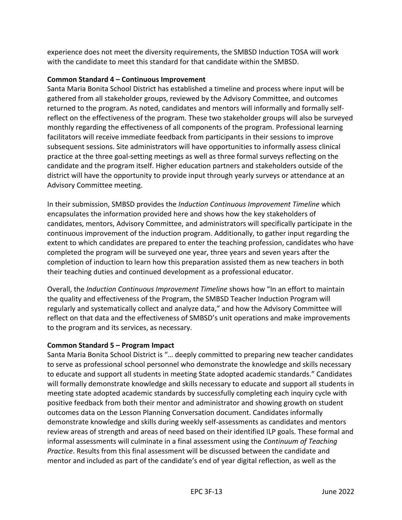experience does not meet the diversity requirements, the SMBSD Induction TOSA will work with the candidate to meet this standard for that candidate within the SMBSD.

# **Common Standard 4 – Continuous Improvement**

Santa Maria Bonita School District has established a timeline and process where input will be gathered from all stakeholder groups, reviewed by the Advisory Committee, and outcomes returned to the program. As noted, candidates and mentors will informally and formally selfreflect on the effectiveness of the program. These two stakeholder groups will also be surveyed monthly regarding the effectiveness of all components of the program. Professional learning facilitators will receive immediate feedback from participants in their sessions to improve subsequent sessions. Site administrators will have opportunities to informally assess clinical practice at the three goal-setting meetings as well as three formal surveys reflecting on the candidate and the program itself. Higher education partners and stakeholders outside of the district will have the opportunity to provide input through yearly surveys or attendance at an Advisory Committee meeting.

In their submission, SMBSD provides the *Induction Continuous Improvement Timeline* which encapsulates the information provided here and shows how the key stakeholders of candidates, mentors, Advisory Committee, and administrators will specifically participate in the continuous improvement of the induction program. Additionally, to gather input regarding the extent to which candidates are prepared to enter the teaching profession, candidates who have completed the program will be surveyed one year, three years and seven years after the completion of induction to learn how this preparation assisted them as new teachers in both their teaching duties and continued development as a professional educator.

Overall, the *Induction Continuous Improvement Timeline* shows how "In an effort to maintain the quality and effectiveness of the Program, the SMBSD Teacher Induction Program will regularly and systematically collect and analyze data," and how the Advisory Committee will reflect on that data and the effectiveness of SMBSD's unit operations and make improvements to the program and its services, as necessary.

# **Common Standard 5 – Program Impact**

Santa Maria Bonita School District is "… deeply committed to preparing new teacher candidates to serve as professional school personnel who demonstrate the knowledge and skills necessary to educate and support all students in meeting State adopted academic standards." Candidates will formally demonstrate knowledge and skills necessary to educate and support all students in meeting state adopted academic standards by successfully completing each inquiry cycle with positive feedback from both their mentor and administrator and showing growth on student outcomes data on the Lesson Planning Conversation document. Candidates informally demonstrate knowledge and skills during weekly self-assessments as candidates and mentors review areas of strength and areas of need based on their identified ILP goals. These formal and informal assessments will culminate in a final assessment using the *Continuum of Teaching Practice*. Results from this final assessment will be discussed between the candidate and mentor and included as part of the candidate's end of year digital reflection, as well as the